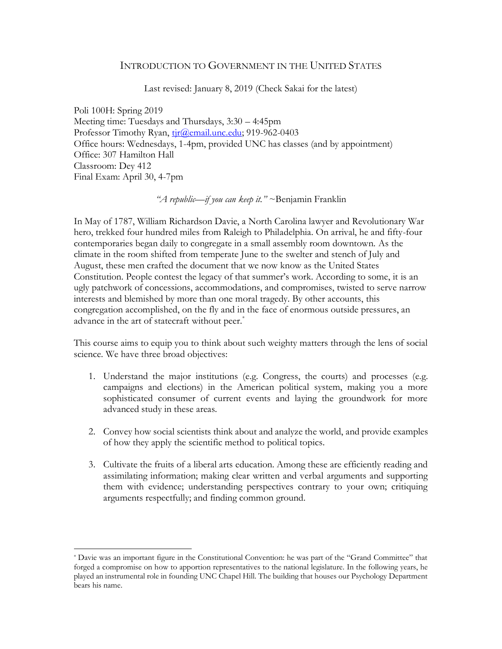### INTRODUCTION TO GOVERNMENT IN THE UNITED STATES

Last revised: January 8, 2019 (Check Sakai for the latest)

Poli 100H: Spring 2019 Meeting time: Tuesdays and Thursdays, 3:30 – 4:45pm Professor Timothy Ryan, tir@email.unc.edu; 919-962-0403 Office hours: Wednesdays, 1-4pm, provided UNC has classes (and by appointment) Office: 307 Hamilton Hall Classroom: Dey 412 Final Exam: April 30, 4-7pm

*"A republic—if you can keep it."* ~Benjamin Franklin

In May of 1787, William Richardson Davie, a North Carolina lawyer and Revolutionary War hero, trekked four hundred miles from Raleigh to Philadelphia. On arrival, he and fifty-four contemporaries began daily to congregate in a small assembly room downtown. As the climate in the room shifted from temperate June to the swelter and stench of July and August, these men crafted the document that we now know as the United States Constitution. People contest the legacy of that summer's work. According to some, it is an ugly patchwork of concessions, accommodations, and compromises, twisted to serve narrow interests and blemished by more than one moral tragedy. By other accounts, this congregation accomplished, on the fly and in the face of enormous outside pressures, an advance in the art of statecraft without peer.<sup>\*</sup>

This course aims to equip you to think about such weighty matters through the lens of social science. We have three broad objectives:

- 1. Understand the major institutions (e.g. Congress, the courts) and processes (e.g. campaigns and elections) in the American political system, making you a more sophisticated consumer of current events and laying the groundwork for more advanced study in these areas.
- 2. Convey how social scientists think about and analyze the world, and provide examples of how they apply the scientific method to political topics.
- 3. Cultivate the fruits of a liberal arts education. Among these are efficiently reading and assimilating information; making clear written and verbal arguments and supporting them with evidence; understanding perspectives contrary to your own; critiquing arguments respectfully; and finding common ground.

l

<sup>\*</sup> Davie was an important figure in the Constitutional Convention: he was part of the "Grand Committee" that forged a compromise on how to apportion representatives to the national legislature. In the following years, he played an instrumental role in founding UNC Chapel Hill. The building that houses our Psychology Department bears his name.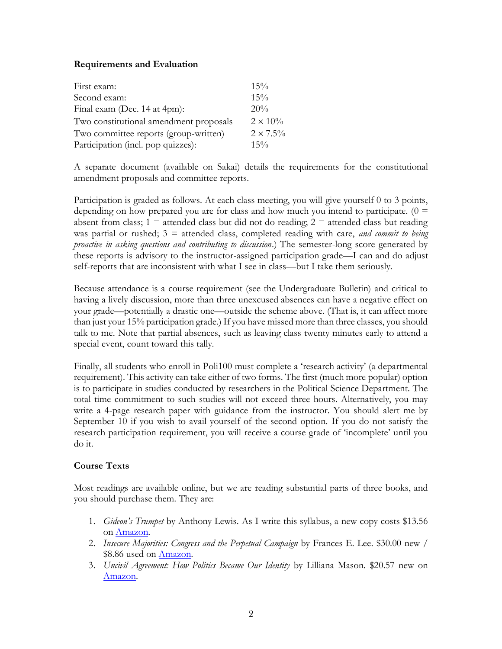# **Requirements and Evaluation**

| First exam:                            | 15%              |
|----------------------------------------|------------------|
| Second exam:                           | 15%              |
| Final exam (Dec. 14 at 4pm):           | 20%              |
| Two constitutional amendment proposals | $2 \times 10\%$  |
| Two committee reports (group-written)  | $2 \times 7.5\%$ |
| Participation (incl. pop quizzes):     | $15\%$           |

A separate document (available on Sakai) details the requirements for the constitutional amendment proposals and committee reports.

Participation is graded as follows. At each class meeting, you will give yourself 0 to 3 points, depending on how prepared you are for class and how much you intend to participate.  $(0 =$ absent from class;  $1 \equiv$  attended class but did not do reading;  $2 \equiv$  attended class but reading was partial or rushed; 3 = attended class, completed reading with care, *and commit to being proactive in asking questions and contributing to discussion*.) The semester-long score generated by these reports is advisory to the instructor-assigned participation grade—I can and do adjust self-reports that are inconsistent with what I see in class—but I take them seriously.

Because attendance is a course requirement (see the Undergraduate Bulletin) and critical to having a lively discussion, more than three unexcused absences can have a negative effect on your grade—potentially a drastic one—outside the scheme above. (That is, it can affect more than just your 15% participation grade.) If you have missed more than three classes, you should talk to me. Note that partial absences, such as leaving class twenty minutes early to attend a special event, count toward this tally.

Finally, all students who enroll in Poli100 must complete a 'research activity' (a departmental requirement). This activity can take either of two forms. The first (much more popular) option is to participate in studies conducted by researchers in the Political Science Department. The total time commitment to such studies will not exceed three hours. Alternatively, you may write a 4-page research paper with guidance from the instructor. You should alert me by September 10 if you wish to avail yourself of the second option. If you do not satisfy the research participation requirement, you will receive a course grade of 'incomplete' until you do it.

# **Course Texts**

Most readings are available online, but we are reading substantial parts of three books, and you should purchase them. They are:

- 1. *Gideon's Trumpet* by Anthony Lewis. As I write this syllabus, a new copy costs \$13.56 on [Amazon.](https://www.amazon.com/Gideons-Trumpet-Prisoner-Supreme-Court/dp/0679723129/ref=sr_1_1?ie=UTF8&qid=1499796899&sr=8-1&keywords=gideon%27s+trumpet)
- 2. *Insecure Majorities: Congress and the Perpetual Campaign* by Frances E. Lee. \$30.00 new / \$8.86 used on **Amazon**.
- 3. *Uncivil Agreement: How Politics Became Our Identity* by Lilliana Mason. \$20.57 new on [Amazon.](https://www.amazon.com/Uncivil-Agreement-Politics-Became-Identity-ebook/dp/B07C13LC3N/ref=sr_1_1?ie=UTF8&qid=1546296404&sr=8-1&keywords=uncivil+agreement+how+politics+became+our+identity)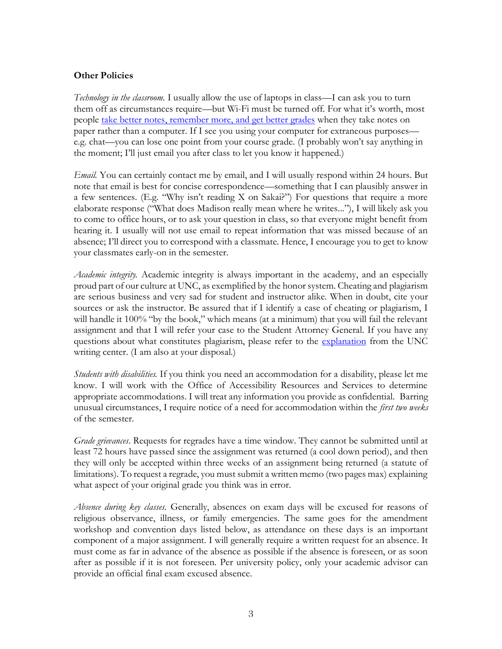# **Other Policies**

*Technology in the classroom.* I usually allow the use of laptops in class—I can ask you to turn them off as circumstances require—but Wi-Fi must be turned off. For what it's worth, most people [take better notes, remember more, and get better grades](https://www.theatlantic.com/technology/archive/2014/05/to-remember-a-lecture-better-take-notes-by-hand/361478/) when they take notes on paper rather than a computer. If I see you using your computer for extraneous purposes e.g. chat—you can lose one point from your course grade. (I probably won't say anything in the moment; I'll just email you after class to let you know it happened.)

*Email.* You can certainly contact me by email, and I will usually respond within 24 hours. But note that email is best for concise correspondence—something that I can plausibly answer in a few sentences. (E.g. "Why isn't reading X on Sakai?") For questions that require a more elaborate response ("What does Madison really mean where he writes..."), I will likely ask you to come to office hours, or to ask your question in class, so that everyone might benefit from hearing it. I usually will not use email to repeat information that was missed because of an absence; I'll direct you to correspond with a classmate. Hence, I encourage you to get to know your classmates early-on in the semester.

*Academic integrity.* Academic integrity is always important in the academy, and an especially proud part of our culture at UNC, as exemplified by the honor system. Cheating and plagiarism are serious business and very sad for student and instructor alike. When in doubt, cite your sources or ask the instructor. Be assured that if I identify a case of cheating or plagiarism, I will handle it 100% "by the book," which means (at a minimum) that you will fail the relevant assignment and that I will refer your case to the Student Attorney General. If you have any questions about what constitutes plagiarism, please refer to the [explanation](http://writingcenter.unc.edu/handouts/plagiarism/) from the UNC writing center. (I am also at your disposal.)

*Students with disabilities.* If you think you need an accommodation for a disability, please let me know. I will work with the Office of Accessibility Resources and Services to determine appropriate accommodations. I will treat any information you provide as confidential. Barring unusual circumstances, I require notice of a need for accommodation within the *first two weeks* of the semester.

*Grade grievances*. Requests for regrades have a time window. They cannot be submitted until at least 72 hours have passed since the assignment was returned (a cool down period), and then they will only be accepted within three weeks of an assignment being returned (a statute of limitations). To request a regrade, you must submit a written memo (two pages max) explaining what aspect of your original grade you think was in error.

*Absence during key classes.* Generally, absences on exam days will be excused for reasons of religious observance, illness, or family emergencies. The same goes for the amendment workshop and convention days listed below, as attendance on these days is an important component of a major assignment. I will generally require a written request for an absence. It must come as far in advance of the absence as possible if the absence is foreseen, or as soon after as possible if it is not foreseen. Per university policy, only your academic advisor can provide an official final exam excused absence.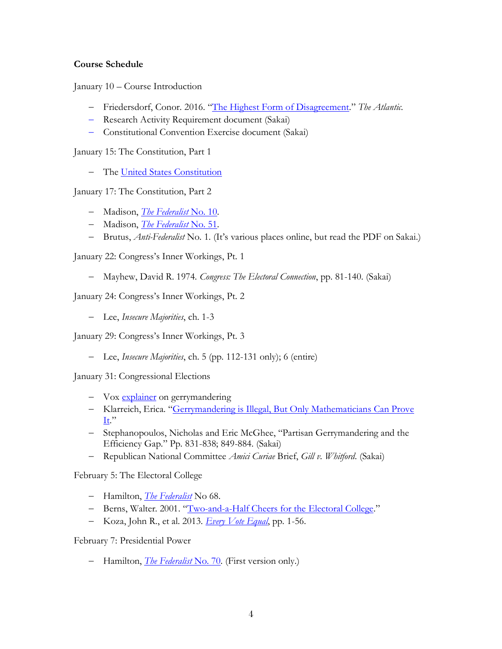# **Course Schedule**

January 10 – Course Introduction

- − Friedersdorf, Conor. 2016. "[The Highest Form of Disagreement](https://www.theatlantic.com/politics/archive/2017/06/the-highest-form-of-disagreement/531597/)." *The Atlantic.*
- − Research Activity Requirement document (Sakai)
- − Constitutional Convention Exercise document (Sakai)

January 15: The Constitution, Part 1

− The [United States Constitution](https://www.archives.gov/founding-docs/constitution-transcript)

January 17: The Constitution, Part 2

- − Madison, *[The Federalist](http://avalon.law.yale.edu/18th_century/fed10.asp)* No. 10.
- − Madison, *[The Federalist](http://avalon.law.yale.edu/18th_century/fed51.asp)* No. 51.
- − Brutus, *Anti-Federalist* No. 1. (It's various places online, but read the PDF on Sakai.)

January 22: Congress's Inner Workings, Pt. 1

− Mayhew, David R. 1974. *Congress: The Electoral Connection*, pp. 81-140. (Sakai)

January 24: Congress's Inner Workings, Pt. 2

− Lee, *Insecure Majorities*, ch. 1-3

January 29: Congress's Inner Workings, Pt. 3

− Lee, *Insecure Majorities*, ch. 5 (pp. 112-131 only); 6 (entire)

January 31: Congressional Elections

- − Vox [explainer](https://www.vox.com/cards/gerrymandering-explained) on gerrymandering
- − Klarreich, Erica. "[Gerrymandering is Illegal, But Only Mathematicians Can Prove](https://www.wired.com/2017/04/gerrymandering-illegal-mathematicians-can-prove/)  [It](https://www.wired.com/2017/04/gerrymandering-illegal-mathematicians-can-prove/)."
- − Stephanopoulos, Nicholas and Eric McGhee, "Partisan Gerrymandering and the Efficiency Gap." Pp. 831-838; 849-884. (Sakai)
- − Republican National Committee *Amici Curiae* Brief, *Gill v. Whitford*. (Sakai)

February 5: The Electoral College

- − Hamilton, *[The Federalist](http://avalon.law.yale.edu/18th_century/fed68.asp)* No 68.
- − Berns, Walter. 2001. "[Two-and-a-Half Cheers for the Electoral College](http://ashbrook.org/publications/onprin-v9n2-berns/)."
- − Koza, John R., et al. 2013. *[Every Vote Equal](http://www.every-vote-equal.com/sites/default/files/everyvoteequal-4th-ed-2013-02-21.pdf)*, pp. 1-56.

February 7: Presidential Power

− Hamilton, *[The Federalist](http://avalon.law.yale.edu/18th_century/fed70.asp)* No. 70. (First version only.)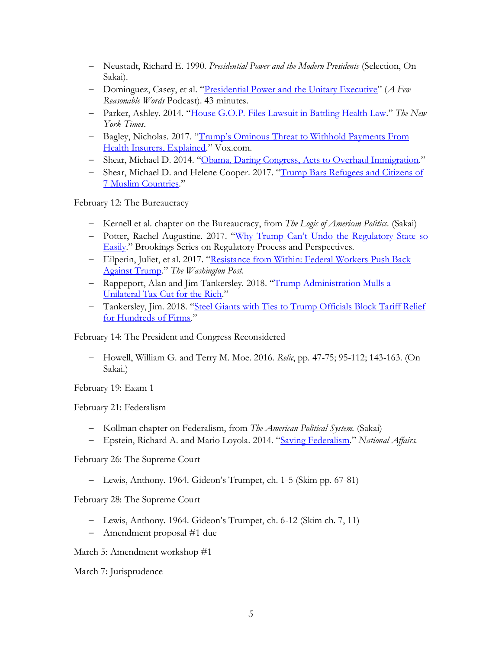- − Neustadt, Richard E. 1990. *Presidential Power and the Modern Presidents* (Selection, On Sakai).
- − Dominguez, Casey, et al. "[Presidential Power and the Unitary Executive](https://itunes.apple.com/us/podcast/ep-24-presidential-power-the-unitary-executive/id1141619513?i=1000380561886&mt=2)" (*A Few Reasonable Words* Podcast). 43 minutes.
- − Parker, Ashley. 2014. "[House G.O.P. Files Lawsuit in Battling Health Law](https://www.nytimes.com/2014/11/22/us/politics/obamacare-lawsuit-filed-by-republicans.html)." *The New York Times*.
- − Bagley, Nicholas. 2017. "Trump's Ominous Threa[t to Withhold Payments From](https://www.vox.com/the-big-idea/2017/3/29/15107836/lawsuit-aca-payments-reimbursement-unconstitutional)  [Health Insurers, Explained](https://www.vox.com/the-big-idea/2017/3/29/15107836/lawsuit-aca-payments-reimbursement-unconstitutional)." Vox.com.
- − Shear, Michael D. 2014. "[Obama, Daring Congress, Acts to Overhaul Immigration](https://www.nytimes.com/2014/11/21/us/obama-immigration-speech.html?mcubz=1)."
- − Shear, Michael D. and Helene Cooper. 2017. "[Trump Bars Refugees and Citizens of](https://www.nytimes.com/2017/01/27/us/politics/trump-syrian-refugees.html)  [7 Muslim Countries](https://www.nytimes.com/2017/01/27/us/politics/trump-syrian-refugees.html)."

February 12: The Bureaucracy

- − Kernell et al. chapter on the Bureaucracy, from *The Logic of American Politics.* (Sakai)
- − Potter, Rachel Augustine. 2017. ["Why Trump Can't Undo the Regulatory Sta](https://www.brookings.edu/research/why-trump-cant-undo-the-regulatory-state-so-easily/)te so [Easily](https://www.brookings.edu/research/why-trump-cant-undo-the-regulatory-state-so-easily/)." Brookings Series on Regulatory Process and Perspectives.
- − Eilperin, Juliet, et al. 2017. "[Resistance from Within: Federal Workers Push Back](https://www.washingtonpost.com/politics/resistance-from-within-federal-workers-push-back-against-trump/2017/01/31/c65b110e-e7cb-11e6-b82f-687d6e6a3e7c_story.html?utm_term=.640f421d8505)  [Against Trump](https://www.washingtonpost.com/politics/resistance-from-within-federal-workers-push-back-against-trump/2017/01/31/c65b110e-e7cb-11e6-b82f-687d6e6a3e7c_story.html?utm_term=.640f421d8505)." *The Washington Post.*
- − Rappeport, Alan and Jim Tankersley. 2018. "[Trump Administration Mulls a](https://www.nytimes.com/2018/07/30/us/politics/trump-tax-cuts-rich.html?hp&action=click&pgtype=Homepage&clickSource=story-heading&module=first-column-region®ion=top-news&WT.nav=top-news)  [Unilateral Tax Cut for the Rich](https://www.nytimes.com/2018/07/30/us/politics/trump-tax-cuts-rich.html?hp&action=click&pgtype=Homepage&clickSource=story-heading&module=first-column-region®ion=top-news&WT.nav=top-news)."
- − Tankersley, Jim. 2018. "[Steel Giants with Ties to Trump Officials Block Tariff Relief](https://www.nytimes.com/2018/08/05/us/politics/nucor-us-steel-tariff-exemptions.html?hp&action=click&pgtype=Homepage&clickSource=story-heading&module=first-column-region®ion=top-news&WT.nav=top-news)  [for Hundreds of Firms](https://www.nytimes.com/2018/08/05/us/politics/nucor-us-steel-tariff-exemptions.html?hp&action=click&pgtype=Homepage&clickSource=story-heading&module=first-column-region®ion=top-news&WT.nav=top-news)."

February 14: The President and Congress Reconsidered

− Howell, William G. and Terry M. Moe. 2016. *Relic*, pp. 47-75; 95-112; 143-163. (On Sakai.)

February 19: Exam 1

February 21: Federalism

- − Kollman chapter on Federalism, from *The American Political System.* (Sakai)
- − Epstein, Richard A. and Mario Loyola. 2014. "[Saving Federalism](https://www.nationalaffairs.com/publications/detail/saving-federalism)." *National Affairs.*

February 26: The Supreme Court

− Lewis, Anthony. 1964. Gideon's Trumpet, ch. 1-5 (Skim pp. 67-81)

February 28: The Supreme Court

- − Lewis, Anthony. 1964. Gideon's Trumpet, ch. 6-12 (Skim ch. 7, 11)
- − Amendment proposal #1 due

March 5: Amendment workshop #1

March 7: Jurisprudence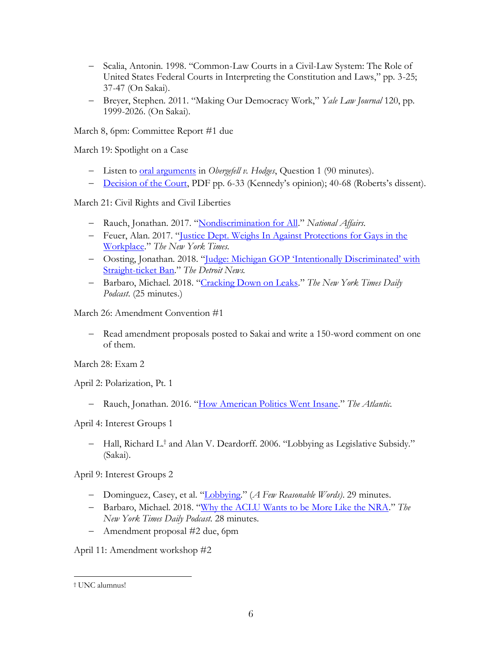- − Scalia, Antonin. 1998. "Common-Law Courts in a Civil-Law System: The Role of United States Federal Courts in Interpreting the Constitution and Laws," pp. 3-25; 37-47 (On Sakai).
- − Breyer, Stephen. 2011. "Making Our Democracy Work," *Yale Law Journal* 120, pp. 1999-2026. (On Sakai).

March 8, 6pm: Committee Report #1 due

March 19: Spotlight on a Case

- − Listen to [oral arguments](https://www.supremecourt.gov/oral_arguments/audio/2014/14-556-q1) in *Obergefell v. Hodges*, Question 1 (90 minutes).
- − [Decision of the Court,](https://www.supremecourt.gov/opinions/14pdf/14-556_3204.pdf) PDF pp. 6-33 (Kennedy's opinion); 40-68 (Roberts's dissent).

March 21: Civil Rights and Civil Liberties

- − Rauch, Jonathan. 2017. "[Nondiscrimination for All](https://www.nationalaffairs.com/publications/detail/nondiscrimination-for-all)." *National Affairs*.
- − Feuer, Alan. 2017. "[Justice Dept. Weighs In Against Protections for Gays in the](https://www.nytimes.com/2017/07/27/nyregion/justice-department-gays-workplace.html?hp&action=click&pgtype=Homepage&clickSource=story-heading&module=first-column-region®ion=top-news&WT.nav=top-news)  [Workplace](https://www.nytimes.com/2017/07/27/nyregion/justice-department-gays-workplace.html?hp&action=click&pgtype=Homepage&clickSource=story-heading&module=first-column-region®ion=top-news&WT.nav=top-news)." *The New York Times*.
- − Oosting, Jonathan. 2018. "Judge: Michigan G[OP 'Intentionally Discriminated' with](https://www.detroitnews.com/story/news/local/michigan/2018/08/01/judge-michigan-gop-straight-ticket/879328002/)  [Straight-ticket Ban](https://www.detroitnews.com/story/news/local/michigan/2018/08/01/judge-michigan-gop-straight-ticket/879328002/)." *The Detroit News.*
- − Barbaro, Michael. 2018. "[Cracking Down on Leaks](https://www.nytimes.com/2018/06/18/podcasts/the-daily/trump-obama-leaks.html)." *The New York Times Daily Podcast*. (25 minutes.)

March 26: Amendment Convention #1

− Read amendment proposals posted to Sakai and write a 150-word comment on one of them.

March 28: Exam 2

April 2: Polarization, Pt. 1

− Rauch, Jonathan. 2016. "[How American Politics Went Insane](https://www.theatlantic.com/magazine/archive/2016/07/how-american-politics-went-insane/485570/)." *The Atlantic*.

April 4: Interest Groups 1

− Hall, Richard L.† and Alan V. Deardorff. 2006. "Lobbying as Legislative Subsidy." (Sakai).

April 9: Interest Groups 2

- − Dominguez, Casey, et al. "[Lobbying](http://afewreasonablewords.libsyn.com/ep-51-lobbying?tdest_id=408856)." (*A Few Reasonable Words)*. 29 minutes.
- − Barbaro, Michael. 2018. "[Why the ACLU Wants to be More Like the NRA](https://www.nytimes.com/2018/07/30/podcasts/the-daily/aclu-nra-trump.html?rref=collection%2Fcolumn%2Fthe-daily&action=click&contentCollection=podcasts®ion=stream&module=stream_unit&version=latest&contentPlacement=1&pgtype=collection)." *The New York Times Daily Podcast*. 28 minutes.
- − Amendment proposal #2 due, 6pm

April 11: Amendment workshop #2

l

<sup>†</sup> UNC alumnus!